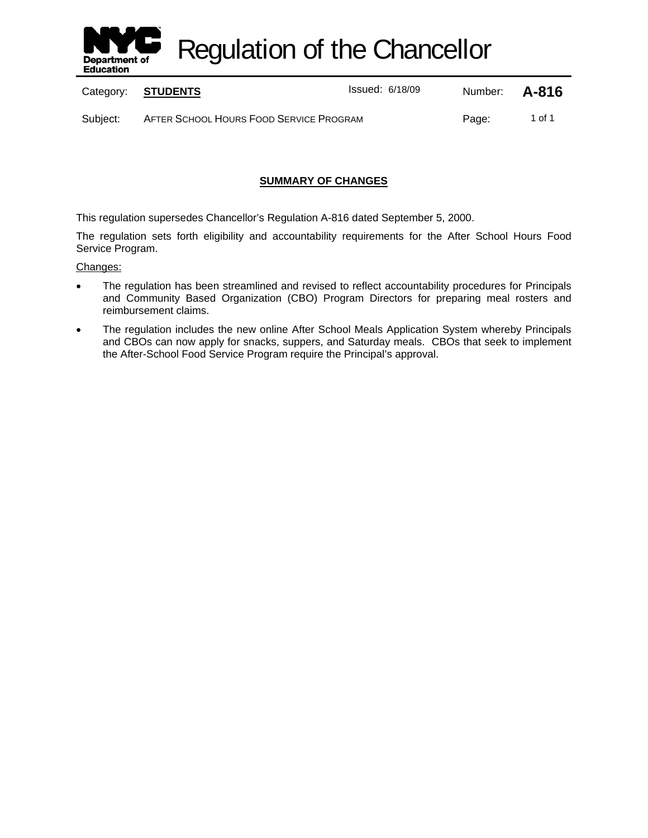

Regulation of the Chancellor

Category: **STUDENTS ISSUE 2018/09** Number: **A-816** 

Subject: AFTER SCHOOL HOURS FOOD SERVICE PROGRAM Page: 1 of 1

# **SUMMARY OF CHANGES**

This regulation supersedes Chancellor's Regulation A-816 dated September 5, 2000.

The regulation sets forth eligibility and accountability requirements for the After School Hours Food Service Program.

#### Changes:

- The regulation has been streamlined and revised to reflect accountability procedures for Principals and Community Based Organization (CBO) Program Directors for preparing meal rosters and reimbursement claims.
- The regulation includes the new online After School Meals Application System whereby Principals and CBOs can now apply for snacks, suppers, and Saturday meals. CBOs that seek to implement the After-School Food Service Program require the Principal's approval.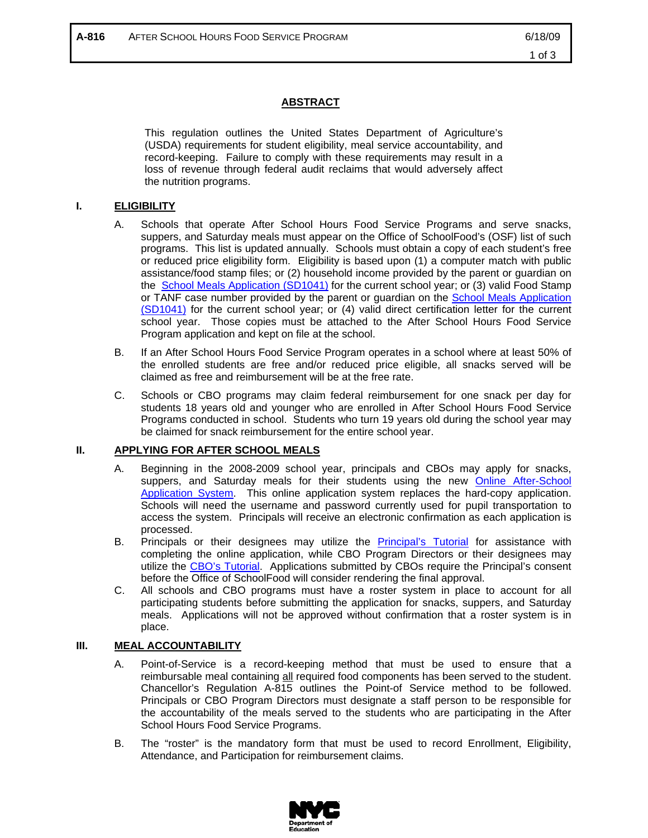## **ABSTRACT**

This regulation outlines the United States Department of Agriculture's (USDA) requirements for student eligibility, meal service accountability, and record-keeping. Failure to comply with these requirements may result in a loss of revenue through federal audit reclaims that would adversely affect the nutrition programs.

#### **I. ELIGIBILITY**

- A. Schools that operate After School Hours Food Service Programs and serve snacks, suppers, and Saturday meals must appear on the Office of SchoolFood's (OSF) list of such programs. This list is updated annually. Schools must obtain a copy of each student's free or reduced price eligibility form. Eligibility is based upon (1) a computer match with public assistance/food stamp files; or (2) household income provided by the parent or guardian on the School Meals Application (SD1041) for the current school year; or (3) valid Food Stamp or TANF case number provided by the parent or guardian on the School Meals Application (SD1041) for the current school year; or (4) valid direct certification letter for the current school year. Those copies must be attached to the After School Hours Food Service Program application and kept on file at the school.
- B. If an After School Hours Food Service Program operates in a school where at least 50% of the enrolled students are free and/or reduced price eligible, all snacks served will be claimed as free and reimbursement will be at the free rate.
- C. Schools or CBO programs may claim federal reimbursement for one snack per day for students 18 years old and younger who are enrolled in After School Hours Food Service Programs conducted in school. Students who turn 19 years old during the school year may be claimed for snack reimbursement for the entire school year.

## **II. APPLYING FOR AFTER SCHOOL MEALS**

- A. Beginning in the 2008-2009 school year, principals and CBOs may apply for snacks, suppers, and Saturday meals for their students using the new Online After-School Application System. This online application system replaces the hard-copy application. Schools will need the username and password currently used for pupil transportation to access the system. Principals will receive an electronic confirmation as each application is processed.
- B. Principals or their designees may utilize the Principal's Tutorial for assistance with completing the online application, while CBO Program Directors or their designees may utilize the CBO's Tutorial. Applications submitted by CBOs require the Principal's consent before the Office of SchoolFood will consider rendering the final approval.
- C. All schools and CBO programs must have a roster system in place to account for all participating students before submitting the application for snacks, suppers, and Saturday meals. Applications will not be approved without confirmation that a roster system is in place.

#### **III. MEAL ACCOUNTABILITY**

- A. Point-of-Service is a record-keeping method that must be used to ensure that a reimbursable meal containing all required food components has been served to the student. Chancellor's Regulation A-815 outlines the Point-of Service method to be followed. Principals or CBO Program Directors must designate a staff person to be responsible for the accountability of the meals served to the students who are participating in the After School Hours Food Service Programs.
- B. The "roster" is the mandatory form that must be used to record Enrollment, Eligibility, Attendance, and Participation for reimbursement claims.

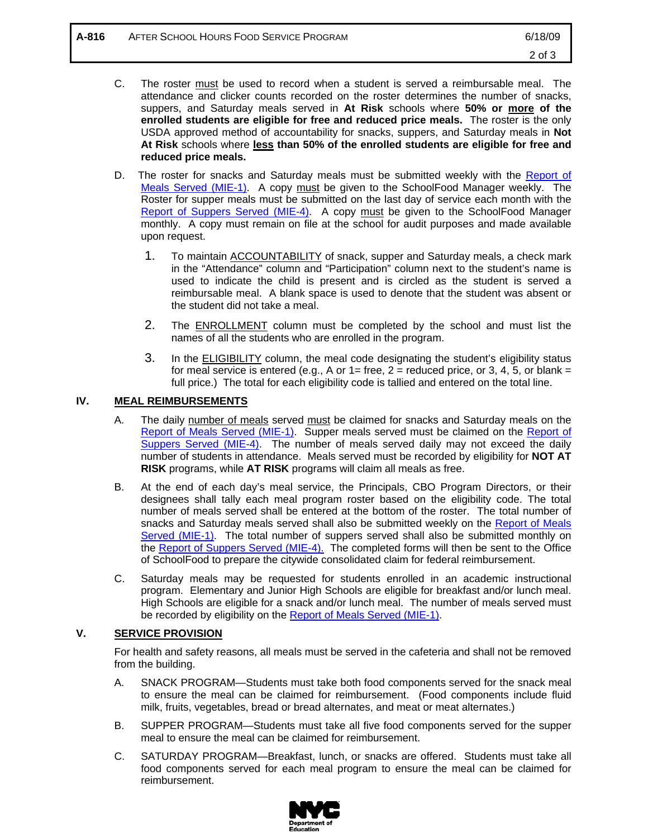- C. The roster must be used to record when a student is served a reimbursable meal. The attendance and clicker counts recorded on the roster determines the number of snacks, suppers, and Saturday meals served in **At Risk** schools where **50% or more of the enrolled students are eligible for free and reduced price meals.** The roster is the only USDA approved method of accountability for snacks, suppers, and Saturday meals in **Not At Risk** schools where **less than 50% of the enrolled students are eligible for free and reduced price meals.**
- D. The roster for snacks and Saturday meals must be submitted weekly with the Report of Meals Served (MIE-1). A copy must be given to the SchoolFood Manager weekly. The Roster for supper meals must be submitted on the last day of service each month with the Report of Suppers Served (MIE-4). A copy must be given to the SchoolFood Manager monthly. A copy must remain on file at the school for audit purposes and made available upon request.
	- 1. To maintain **ACCOUNTABILITY** of snack, supper and Saturday meals, a check mark in the "Attendance" column and "Participation" column next to the student's name is used to indicate the child is present and is circled as the student is served a reimbursable meal. A blank space is used to denote that the student was absent or the student did not take a meal.
	- 2. The **ENROLLMENT** column must be completed by the school and must list the names of all the students who are enrolled in the program.
	- 3. In the **ELIGIBILITY** column, the meal code designating the student's eligibility status for meal service is entered (e.g., A or  $1=$  free,  $2=$  reduced price, or 3, 4, 5, or blank = full price.) The total for each eligibility code is tallied and entered on the total line.

## **IV. MEAL REIMBURSEMENTS**

- A. The daily number of meals served must be claimed for snacks and Saturday meals on the Report of Meals Served (MIE-1). Supper meals served must be claimed on the Report of Suppers Served (MIE-4). The number of meals served daily may not exceed the daily number of students in attendance. Meals served must be recorded by eligibility for **NOT AT RISK** programs, while **AT RISK** programs will claim all meals as free.
- B. At the end of each day's meal service, the Principals, CBO Program Directors, or their designees shall tally each meal program roster based on the eligibility code. The total number of meals served shall be entered at the bottom of the roster. The total number of snacks and Saturday meals served shall also be submitted weekly on the Report of Meals Served (MIE-1). The total number of suppers served shall also be submitted monthly on the Report of Suppers Served (MIE-4). The completed forms will then be sent to the Office of SchoolFood to prepare the citywide consolidated claim for federal reimbursement.
- C. Saturday meals may be requested for students enrolled in an academic instructional program. Elementary and Junior High Schools are eligible for breakfast and/or lunch meal. High Schools are eligible for a snack and/or lunch meal. The number of meals served must be recorded by eligibility on the Report of Meals Served (MIE-1).

## **V. SERVICE PROVISION**

For health and safety reasons, all meals must be served in the cafeteria and shall not be removed from the building.

- A. SNACK PROGRAM—Students must take both food components served for the snack meal to ensure the meal can be claimed for reimbursement. (Food components include fluid milk, fruits, vegetables, bread or bread alternates, and meat or meat alternates.)
- B. SUPPER PROGRAM—Students must take all five food components served for the supper meal to ensure the meal can be claimed for reimbursement.
- C. SATURDAY PROGRAM—Breakfast, lunch, or snacks are offered. Students must take all food components served for each meal program to ensure the meal can be claimed for reimbursement.